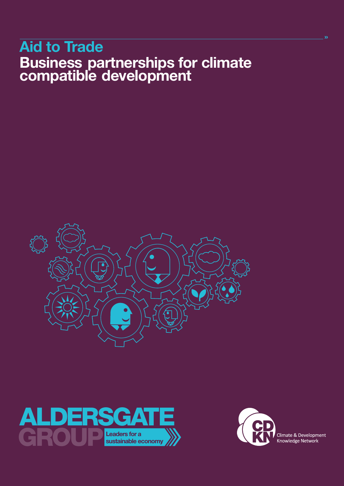# Aid to Trade Business partnerships for climate compatible development







Climate & Development<br>Knowledge Network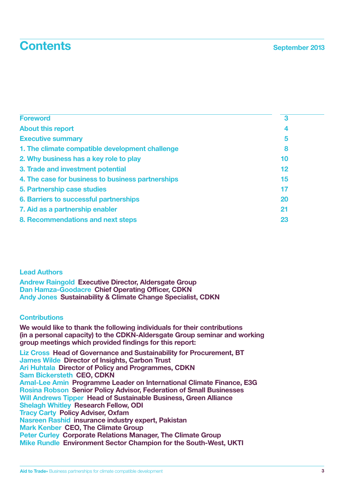## **Contents** September 2013

| <b>Foreword</b>                                   | 3  |
|---------------------------------------------------|----|
| <b>About this report</b>                          | 4  |
| <b>Executive summary</b>                          | 5  |
| 1. The climate compatible development challenge   | 8  |
| 2. Why business has a key role to play            | 10 |
| 3. Trade and investment potential                 | 12 |
| 4. The case for business to business partnerships | 15 |
| 5. Partnership case studies                       | 17 |
| 6. Barriers to successful partnerships            | 20 |
| 7. Aid as a partnership enabler                   | 21 |
| 8. Recommendations and next steps                 | 23 |

#### Lead Authors

Andrew Raingold Executive Director, Aldersgate Group Dan Hamza-Goodacre Chief Operating Officer, CDKN Andy Jones Sustainability & Climate Change Specialist, CDKN

## **Contributions**

We would like to thank the following individuals for their contributions (in a personal capacity) to the CDKN-Aldersgate Group seminar and working group meetings which provided findings for this report:

Liz Cross Head of Governance and Sustainability for Procurement, BT James Wilde Director of Insights, Carbon Trust Ari Huhtala Director of Policy and Programmes, CDKN Sam Bickersteth CEO, CDKN Amal-Lee Amin Programme Leader on International Climate Finance, E3G Rosina Robson Senior Policy Advisor, Federation of Small Businesses Will Andrews Tipper Head of Sustainable Business, Green Alliance Shelagh Whitley Research Fellow, ODI Tracy Carty Policy Adviser, Oxfam Nasreen Rashid insurance industry expert, Pakistan Mark Kenber CEO, The Climate Group Peter Curley Corporate Relations Manager, The Climate Group Mike Rundle Environment Sector Champion for the South-West, UKTI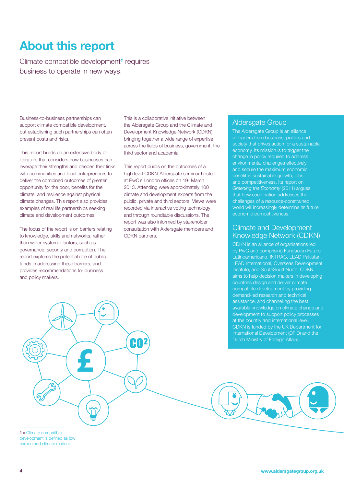## About this report

Climate compatible development*1* requires business to operate in new ways.

Business-to-business partnerships can support climate compatible development, but establishing such partnerships can often present costs and risks.

This report builds on an extensive body of literature that considers how businesses can leverage their strengths and deepen their links with communities and local entrepreneurs to deliver the combined outcomes of greater opportunity for the poor, benefits for the climate, and resilience against physical climate changes. This report also provides examples of real life partnerships seeking climate and development outcomes.

The focus of the report is on barriers relating to knowledge, skills and networks, rather than wider systemic factors, such as governance, security and corruption. The report explores the potential role of public funds in addressing these barriers, and provides recommendations for business and policy makers.

This is a collaborative initiative between the Aldersgate Group and the Climate and Development Knowledge Network (CDKN), bringing together a wide range of expertise across the fields of business, government, the third sector and academia.

This report builds on the outcomes of a high level CDKN-Aldersgate seminar hosted at PwC's London offices on 19<sup>th</sup> March 2013. Attending were approximately 100 climate and development experts from the public, private and third sectors. Views were recorded via interactive voting technology and through roundtable discussions. The report was also informed by stakeholder consultation with Aldersgate members and CDKN partners.

CO

#### Aldersgate Group

The Aldersgate Group is an alliance of leaders from business, politics and society that drives action for a sustainable economy. Its mission is to trigger the change in policy required to address environmental challenges effectively benefit in sustainable growth, jobs and competitiveness. Its report on *Greening the Economy* (2011) argues that how each nation addresses the challenges of a resource-constrained world will increasingly determine its future economic competitiveness.

## Climate and Development Knowledge Network (CDKN)

CDKN is an alliance of organisations led by PwC and comprising Fundación Futuro Latinoamericano, INTRAC, LEAD Pakistan, LEAD International, Overseas Development Institute, and SouthSouthNorth. CDKN aims to help decision makers in developing countries design and deliver climate compatible development by providing demand-led research and technical assistance, and channelling the best available knowledge on climate change and development to support policy processes at the country and international level. CDKN is funded by the UK Department for International Development (DFID) and the Dutch Ministry of Foreign Affairs.

1 » Climate compatible development is defined as low carbon and climate resilient.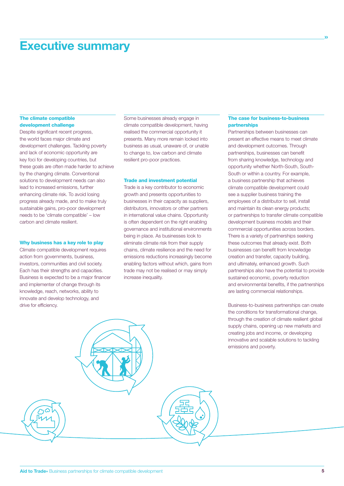## Executive summary

#### The climate compatible development challenge

Despite significant recent progress, the world faces major climate and development challenges. Tackling poverty and lack of economic opportunity are key foci for developing countries, but these goals are often made harder to achieve by the changing climate. Conventional solutions to development needs can also lead to increased emissions, further enhancing climate risk. To avoid losing progress already made, and to make truly sustainable gains, pro-poor development needs to be 'climate compatible' – low carbon and climate resilient.

#### Why business has a key role to play

Climate compatible development requires action from governments, business, investors, communities and civil society. Each has their strengths and capacities. Business is expected to be a major financer and implementer of change through its knowledge, reach, networks, ability to innovate and develop technology, and drive for efficiency.

Some businesses already engage in climate compatible development, having realised the commercial opportunity it presents. Many more remain locked into business as usual, unaware of, or unable to change to, low carbon and climate resilient pro-poor practices.

#### Trade and investment potential

Trade is a key contributor to economic growth and presents opportunities to businesses in their capacity as suppliers, distributors, innovators or other partners in international value chains. Opportunity is often dependent on the right enabling governance and institutional environments being in place. As businesses look to eliminate climate risk from their supply chains, climate resilience and the need for emissions reductions increasingly become enabling factors without which, gains from trade may not be realised or may simply increase inequality.

#### The case for business-to-business partnerships

»

Partnerships between businesses can present an effective means to meet climate and development outcomes. Through partnerships, businesses can benefit from sharing knowledge, technology and opportunity whether North-South, South-South or within a country. For example, a business partnership that achieves climate compatible development could see a supplier business training the employees of a distributor to sell, install and maintain its clean energy products; or partnerships to transfer climate compatible development business models and their commercial opportunities across borders. There is a variety of partnerships seeking these outcomes that already exist. Both businesses can benefit from knowledge creation and transfer, capacity building, and ultimately, enhanced growth. Such partnerships also have the potential to provide sustained economic, poverty reduction and environmental benefits, if the partnerships are lasting commercial relationships.

Business-to-business partnerships can create the conditions for transformational change, through the creation of climate resilient global supply chains, opening up new markets and creating jobs and income, or developing innovative and scalable solutions to tackling emissions and poverty.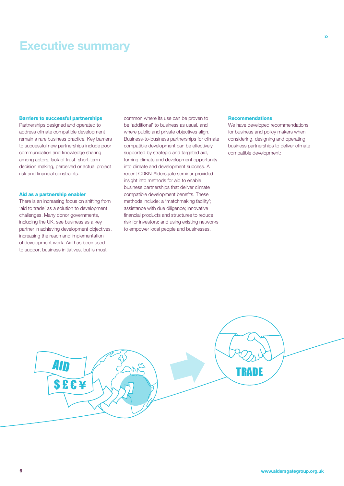## Executive summary

#### Barriers to successful partnerships

Partnerships designed and operated to address climate compatible development remain a rare business practice. Key barriers to successful new partnerships include poor communication and knowledge sharing among actors, lack of trust, short-term decision making, perceived or actual project risk and financial constraints.

#### Aid as a partnership enabler

There is an increasing focus on shifting from 'aid to trade' as a solution to development challenges. Many donor governments, including the UK, see business as a key partner in achieving development objectives, increasing the reach and implementation of development work. Aid has been used to support business initiatives, but is most

common where its use can be proven to be 'additional' to business as usual, and where public and private objectives align. Business-to-business partnerships for climate compatible development can be effectively supported by strategic and targeted aid, turning climate and development opportunity into climate and development success. A recent CDKN-Aldersgate seminar provided insight into methods for aid to enable business partnerships that deliver climate compatible development benefits. These methods include: a 'matchmaking facility'; assistance with due diligence; innovative financial products and structures to reduce risk for investors; and using existing networks to empower local people and businesses.

#### Recommendations

We have developed recommendations for business and policy makers when considering, designing and operating business partnerships to deliver climate compatible development:

»

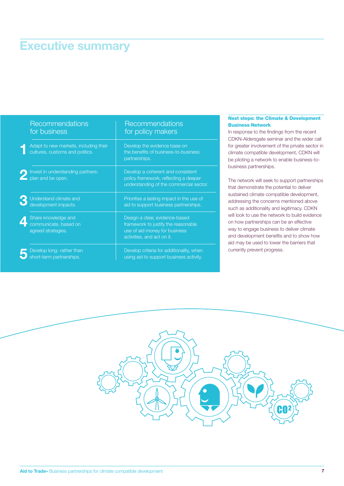# Executive summary

| Recommendations<br>for business                                          | Recommendations<br>for policy makers                                                                                                 |
|--------------------------------------------------------------------------|--------------------------------------------------------------------------------------------------------------------------------------|
| Adapt to new markets, including their<br>cultures, customs and politics. | Develop the evidence base on<br>the benefits of business-to-business<br>partnerships.                                                |
| Invest in understanding partners:<br>plan and be open.                   | Develop a coherent and consistent<br>policy framework, reflecting a deeper<br>understanding of the commercial sector.                |
| Understand climate and<br>development impacts.                           | Prioritise a lasting impact in the use of<br>aid to support business partnerships.                                                   |
| Share knowledge and<br>communicate, based on<br>agreed strategies.       | Design a clear, evidence-based<br>framework to justify the reasonable<br>use of aid money for business<br>activities, and act on it. |
| Develop long-rather than<br>short-term partnerships.                     | Develop criteria for additionality, when<br>using aid to support business activity.                                                  |

#### Next steps: the Climate & Development Business Network

In response to the findings from the recent CDKN-Aldersgate seminar and the wider call for greater involvement of the private sector in climate compatible development, CDKN will be piloting a network to enable business-tobusiness partnerships.

The network will seek to support partnerships that demonstrate the potential to deliver sustained climate compatible development, addressing the concerns mentioned above such as additionality and legitimacy. CDKN will look to use the network to build evidence on how partnerships can be an effective way to engage business to deliver climate and development benefits and to show how aid may be used to lower the barriers that currently prevent progress.

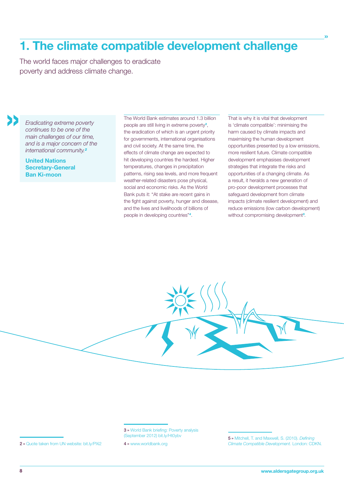## 1. The climate compatible development challenge

The world faces major challenges to eradicate poverty and address climate change.

*Eradicating extreme poverty continues to be one of the main challenges of our time, and is a major concern of the international community.<sup>2</sup>*

United Nations Secretary-General Ban Ki-moon

»

The World Bank estimates around 1.3 billion people are still living in extreme poverty*3*, the eradication of which is an urgent priority for governments, international organisations and civil society. At the same time, the effects of climate change are expected to hit developing countries the hardest. Higher temperatures, changes in precipitation patterns, rising sea levels, and more frequent weather-related disasters pose physical, social and economic risks. As the World Bank puts it: "At stake are recent gains in the fight against poverty, hunger and disease, and the lives and livelihoods of billions of people in developing countries"*4*.

That is why it is vital that development is 'climate compatible': minimising the harm caused by climate impacts and maximising the human development opportunities presented by a low emissions, more resilient future. Climate compatible development emphasises development strategies that integrate the risks and opportunities of a changing climate. As a result, it heralds a new generation of pro-poor development processes that safeguard development from climate impacts (climate resilient development) and reduce emissions (low carbon development) without compromising development*<sup>5</sup>* .

»

3 » World Bank briefing: Poverty analysis (September 2012) bit.ly/Ht0ybv

4 » www.worldbank.org

2 » Quote taken from UN website: bit.ly/PXi2

<sup>5 »</sup> Mitchell, T. and Maxwell, S. (2010). *Defining Climate Compatible Development.* London: CDKN.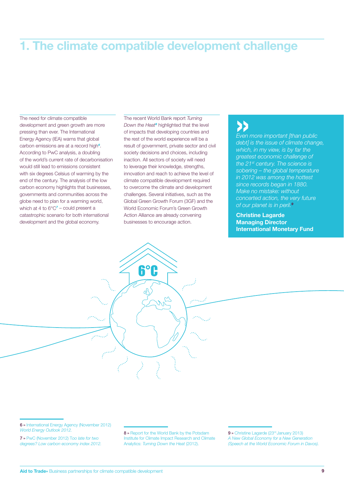## 1. The climate compatible development challenge

The need for climate compatible development and green growth are more pressing than ever. The International Energy Agency (IEA) warns that global carbon emissions are at a record high*6*. According to PwC analysis, a doubling of the world's current rate of decarbonisation would still lead to emissions consistent with six degrees Celsius of warming by the end of the century. The analysis of the low carbon economy highlights that businesses, governments and communities across the globe need to plan for a warming world, which at 4 to 6°C*7* – could present a catastrophic scenario for both international development and the global economy.

The recent World Bank report *Turning Down the Heat8* highlighted that the level of impacts that developing countries and the rest of the world experience will be a result of government, private sector and civil society decisions and choices, including inaction. All sectors of society will need to leverage their knowledge, strengths, innovation and reach to achieve the level of climate compatible development required to overcome the climate and development challenges. Several initiatives, such as the Global Green Growth Forum (3GF) and the World Economic Forum's Green Growth Action Alliance are already convening businesses to encourage action.

6°C

## »

*Even more important [than public debt] is the issue of climate change, which, in my view, is by far the greatest economic challenge of the 21st century. The science is sobering – the global temperature in 2012 was among the hottest since records began in 1880. Make no mistake: without concerted action, the very future of our planet is in peril.<sup>9</sup>*

Christine Lagarde Managing Director International Monetary Fund

6 » International Energy Agency (November 2012) *World Energy Outlook 2012.* 

7 » PwC (November 2012) T*oo late for two degrees? Low carbon economy index 2012.* 8 » Report for the World Bank by the Potsdam Institute for Climate Impact Research and Climate Analytics: *Turning Down the Heat* (2012).

9 » Christine Lagarde (23rd January 2013) *A New Global Economy for a New Generation (Speech at the World Economic Forum in Davos).*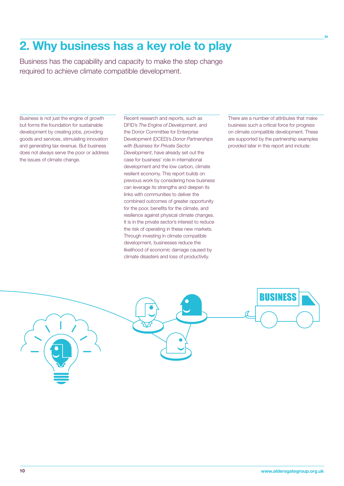## 2. Why business has a key role to play

Business has the capability and capacity to make the step change required to achieve climate compatible development.

Business is not just the engine of growth but forms the foundation for sustainable development by creating jobs, providing goods and services, stimulating innovation and generating tax revenue. But business does not always serve the poor or address the issues of climate change.

Recent research and reports, such as DFID's *The Engine of Development*, and the Donor Committee for Enterprise Development (DCED)'s *Donor Partnerships with Business for Private Sector Development*, have already set out the case for business' role in international development and the low carbon, climate resilient economy. This report builds on previous work by considering how business can leverage its strengths and deepen its links with communities to deliver the combined outcomes of greater opportunity for the poor, benefits for the climate, and resilience against physical climate changes. It is in the private sector's interest to reduce the risk of operating in these new markets. Through investing in climate compatible development, businesses reduce the likelihood of economic damage caused by climate disasters and loss of productivity.

There are a number of attributes that make business such a critical force for progress on climate compatible development. These are supported by the partnership examples provided later in this report and include:

»

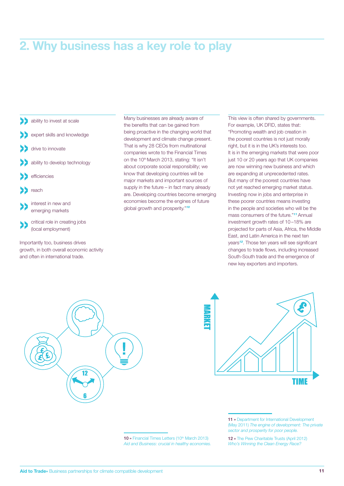## 2. Why business has a key role to play

- ability to invest at scale
- expert skills and knowledge
- drive to innovate
- ability to develop technology
- efficiencies
- reach
- »interest in new and emerging markets
- critical role in creating jobs (local employment)

Importantly too, business drives growth, in both overall economic activity and often in international trade.

Many businesses are already aware of the benefits that can be gained from being proactive in the changing world that development and climate change present. That is why 28 CEOs from multinational companies wrote to the Financial Times on the 10<sup>th</sup> March 2013, stating: "It isn't about corporate social responsibility; we know that developing countries will be major markets and important sources of supply in the future – in fact many already are. Developing countries become emerging economies become the engines of future global growth and prosperity."*<sup>10</sup>*

This view is often shared by governments. For example, UK DFID, states that: "Promoting wealth and job creation in the poorest countries is not just morally right, but it is in the UK's interests too. It is in the emerging markets that were poor just 10 or 20 years ago that UK companies are now winning new business and which are expanding at unprecedented rates. But many of the poorest countries have not yet reached emerging market status. Investing now in jobs and enterprise in these poorer countries means investing in the people and societies who will be the mass consumers of the future."*11* Annual investment growth rates of 10 –18% are projected for parts of Asia, Africa, the Middle East, and Latin America in the next ten years*12*. Those ten years will see significant changes to trade flows, including increased South-South trade and the emergence of new key exporters and importers.





<sup>11 »</sup> Department for International Development (May 2011) *The engine of development: The private sector and prosperity for poor people.*

12 » The Pew Charitable Trusts (April 2012) *Who's Winning the Clean Energy Race?* 

10 » Financial Times Letters (10th March 2013) *Aid and Business: crucial in healthy economies.*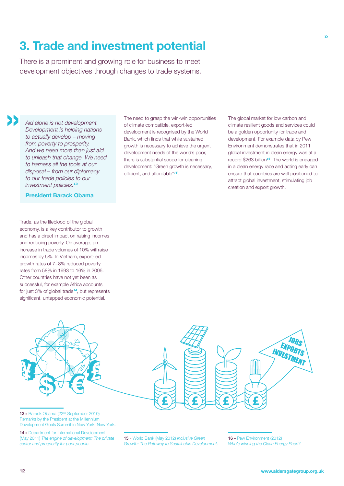## 3. Trade and investment potential

There is a prominent and growing role for business to meet development objectives through changes to trade systems.

*Aid alone is not development. Development is helping nations to actually develop – moving from poverty to prosperity. And we need more than just aid to unleash that change. We need to harness all the tools at our disposal – from our diplomacy to our trade policies to our investment policies.<sup>13</sup>*

»

President Barack Obama

Trade, as the lifeblood of the global economy, is a key contributor to growth and has a direct impact on raising incomes and reducing poverty. On average, an increase in trade volumes of 10% will raise incomes by 5%. In Vietnam, export-led growth rates of 7–8% reduced poverty rates from 58% in 1993 to 16% in 2006. Other countries have not yet been as successful, for example Africa accounts for just 3% of global trade*14*, but represents significant, untapped economic potential.

The need to grasp the win-win opportunities of climate compatible, export-led development is recognised by the World Bank, which finds that while sustained growth is necessary to achieve the urgent development needs of the world's poor, there is substantial scope for cleaning development: "Green growth is necessary, efficient, and affordable"*15*.

The global market for low carbon and climate resilient goods and services could be a golden opportunity for trade and development. For example data by Pew Environment demonstrates that in 2011 global investment in clean energy was at a record \$263 billion*16*. The world is engaged in a clean energy race and acting early can ensure that countries are well positioned to attract global investment, stimulating job creation and export growth.

»



Remarks by the President at the Millennium Development Goals Summit in New York, New York.

14 » Department for International Development (May 2011) *The engine of development: The private sector and prosperity for poor people.*

15 » World Bank (May 2012) *Inclusive Green Growth: The Pathway to Sustainable Development.* 16 » Pew Environment (2012) *Who's winning the Clean Energy Race?*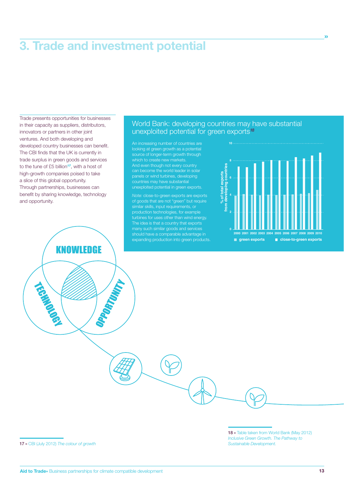## 3. Trade and investment potential

Trade presents opportunities for businesses in their capacity as suppliers, distributors, innovators or partners in other joint ventures. And both developing and developed country businesses can benefit. The CBI finds that the UK is currently in trade surplus in green goods and services to the tune of £5 billion*17*, with a host of high-growth companies poised to take a slice of this global opportunity. Through partnerships, businesses can benefit by sharing knowledge, technology and opportunity.

**KNOWLEDGE** 

OPPORTUNITY

## World Bank: developing countries may have substantial unexploited potential for green exports*<sup>18</sup>*

looking at green growth as a potential source of longer-term growth through And even though not every country can become the world leader in solar panels or wind turbines, developing countries may have substantial unexploited potential in green exports.

*Note:* close-to-green exports are exports of goods that are not "green" but require similar skills, input requirements, or production technologies, for example turbines for uses other than wind energy. The idea is that a country that exports expanding production into green products.



»

TECHNOLOGY

18 » Table taken from World Bank (May 2012) *Inclusive Green Growth. The Pathway to Sustainable Development.*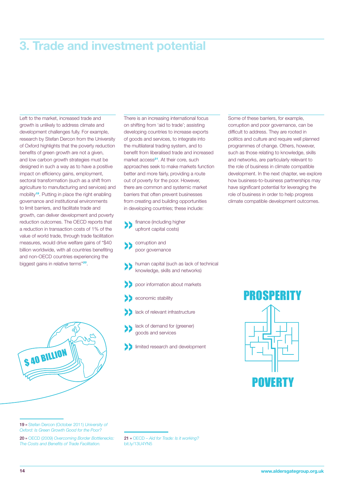## 3. Trade and investment potential

Left to the market, increased trade and growth is unlikely to address climate and development challenges fully. For example, research by Stefan Dercon from the University of Oxford highlights that the poverty reduction benefits of green growth are not a given, and low carbon growth strategies must be designed in such a way as to have a positive impact on efficiency gains, employment, sectoral transformation (such as a shift from agriculture to manufacturing and services) and mobility*19*. Putting in place the right enabling governance and institutional environments to limit barriers, and facilitate trade and growth, can deliver development and poverty reduction outcomes. The OECD reports that a reduction in transaction costs of 1% of the value of world trade, through trade facilitation measures, would drive welfare gains of "\$40 billion worldwide, with all countries benefiting and non-OECD countries experiencing the biggest gains in relative terms"*20*.



There is an increasing international focus on shifting from 'aid to trade'; assisting developing countries to increase exports of goods and services, to integrate into the multilateral trading system, and to benefit from liberalised trade and increased market access*21*. At their core, such approaches seek to make markets function better and more fairly, providing a route out of poverty for the poor. However, there are common and systemic market barriers that often prevent businesses from creating and building opportunities in developing countries; these include:

- finance (including higher upfront capital costs)
- corruption and poor governance
- human capital (such as lack of technical knowledge, skills and networks)
- » poor information about markets
- economic stability
- lack of relevant infrastructure
- lack of demand for (greener) goods and services
- »limited research and development

Some of these barriers, for example, corruption and poor governance, can be difficult to address. They are rooted in politics and culture and require well planned programmes of change. Others, however, such as those relating to knowledge, skills and networks, are particularly relevant to the role of business in climate compatible development. In the next chapter, we explore how business-to-business partnerships may have significant potential for leveraging the role of business in order to help progress climate compatible development outcomes.



20 » OECD (2009) *Overcoming Border Bottlenecks: The Costs and Benefits of Trade Facilitation.*

21 » OECD – *Aid for Trade: Is it working?* bit.ly/13U4YN5

<sup>19 »</sup> Stefan Dercon (October 2011) *University of Oxford: Is Green Growth Good for the Poor?*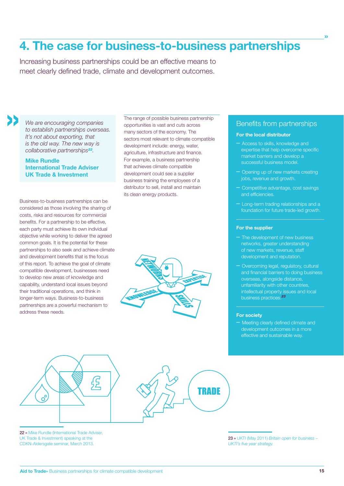## 4. The case for business-to-business partnerships

Increasing business partnerships could be an effective means to meet clearly defined trade, climate and development outcomes.

» *We are encouraging companies to establish partnerships overseas. It's not about exporting, that is the old way. The new way is collaborative partnerships22.*

> Mike Rundle International Trade Adviser UK Trade & Investment

Business-to-business partnerships can be considered as those involving the sharing of costs, risks and resources for commercial benefits. For a partnership to be effective, each party must achieve its own individual objective while working to deliver the agreed common goals. It is the potential for these partnerships to also seek and achieve climate and development benefits that is the focus of this report. To achieve the goal of climate compatible development, businesses need to develop new areas of knowledge and capability, understand local issues beyond their traditional operations, and think in longer-term ways. Business-to-business partnerships are a powerful mechanism to address these needs.

The range of possible business partnership opportunities is vast and cuts across many sectors of the economy. The sectors most relevant to climate compatible development include: energy, water, agriculture, infrastructure and finance. For example, a business partnership that achieves climate compatible development could see a supplier business training the employees of a distributor to sell, install and maintain its clean energy products.

#### Benefits from partnerships

»

#### For the local distributor

- Access to skills, knowledge and expertise that help overcome specific market barriers and develop a successful business model.
- Opening up of new markets creating jobs, revenue and growth.
- Competitive advantage, cost savings and efficiencies.
- Long-term trading relationships and a foundation for future trade-led growth.

#### For the supplier

- The development of new business networks, greater understanding development and reputation.
- Overcoming legal, regulatory, cultural and financial barriers to doing business intellectual property issues and local business practices.*<sup>23</sup>*

#### For society

– Meeting clearly defined climate and development outcomes in a more effective and sustainable way.





22 » Mike Rundle (International Trade Adviser, UK Trade & Investment) speaking at the CDKN-Aldersgate seminar, March 2013.

23 » UKTI (May 2011) *Britain open for business – UKTI's five year strategy.*

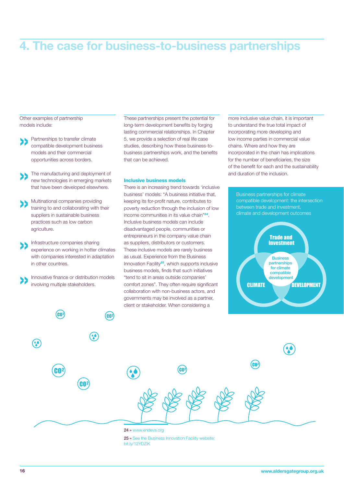## 4. The case for business-to-business partnerships

Other examples of partnership models include:

- » Partnerships to transfer climate compatible development business models and their commercial opportunities across borders.
- » The manufacturing and deployment of new technologies in emerging markets that have been developed elsewhere.
- » Multinational companies providing training to and collaborating with their suppliers in sustainable business practices such as low carbon agriculture.
- »Infrastructure companies sharing experience on working in hotter climates with companies interested in adaptation in other countries.

»Innovative finance or distribution models involving multiple stakeholders.

These partnerships present the potential for long-term development benefits by forging lasting commercial relationships. In Chapter 5, we provide a selection of real life case studies, describing how these business-tobusiness partnerships work, and the benefits that can be achieved.

#### Inclusive business models

There is an increasing trend towards 'inclusive business' models: "A business initiative that, keeping its for-profit nature, contributes to poverty reduction through the inclusion of low income communities in its value chain"*24*. Inclusive business models can include disadvantaged people, communities or entrepreneurs in the company value chain as suppliers, distributors or customers. These inclusive models are rarely business as usual. Experience from the Business Innovation Facility*25*, which supports inclusive business models, finds that such initiatives "tend to sit in areas outside companies' comfort zones". They often require significant collaboration with non-business actors, and governments may be involved as a partner, client or stakeholder. When considering a

more inclusive value chain, it is important to understand the true total impact of incorporating more developing and low income parties in commercial value chains. Where and how they are incorporated in the chain has implications for the number of beneficiaries, the size of the benefit for each and the sustainability and duration of the inclusion.





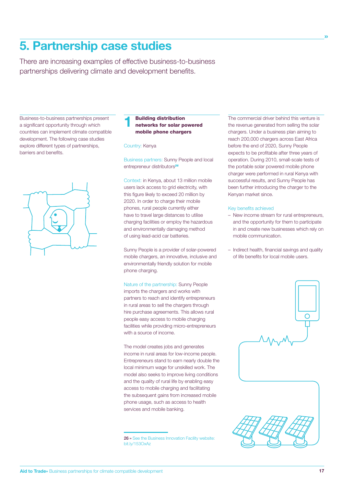## 5. Partnership case studies

There are increasing examples of effective business-to-business partnerships delivering climate and development benefits.

Business-to-business partnerships present a significant opportunity through which countries can implement climate compatible development. The following case studies explore different types of partnerships, barriers and benefits.



## 1 Building distribution networks for solar powered mobile phone chargers

Country: Kenya

Business partners: Sunny People and local entrepreneur distributors*<sup>26</sup>*

Context: in Kenya, about 13 million mobile users lack access to grid electricity, with this figure likely to exceed 20 million by 2020. In order to charge their mobile phones, rural people currently either have to travel large distances to utilise charging facilities or employ the hazardous and environmentally damaging method of using lead-acid car batteries.

Sunny People is a provider of solar-powered mobile chargers, an innovative, inclusive and environmentally friendly solution for mobile phone charging.

Nature of the partnership: Sunny People imports the chargers and works with partners to reach and identify entrepreneurs in rural areas to sell the chargers through hire purchase agreements. This allows rural people easy access to mobile charging facilities while providing micro-entrepreneurs with a source of income.

The model creates jobs and generates income in rural areas for low-income people. Entrepreneurs stand to earn nearly double the local minimum wage for unskilled work. The model also seeks to improve living conditions and the quality of rural life by enabling easy access to mobile charging and facilitating the subsequent gains from increased mobile phone usage, such as access to health services and mobile banking.

26 » See the Business Innovation Facility website: bit.ly/153OxAz

The commercial driver behind this venture is the revenue generated from selling the solar chargers. Under a business plan aiming to reach 200,000 chargers across East Africa before the end of 2020, Sunny People expects to be profitable after three years of operation. During 2010, small-scale tests of the portable solar powered mobile phone charger were performed in rural Kenya with successful results, and Sunny People has been further introducing the charger to the Kenyan market since.

»

#### Key benefits achieved

- New income stream for rural entrepreneurs, and the opportunity for them to participate in and create new businesses which rely on mobile communication.
- Indirect health, financial savings and quality of life benefits for local mobile users.

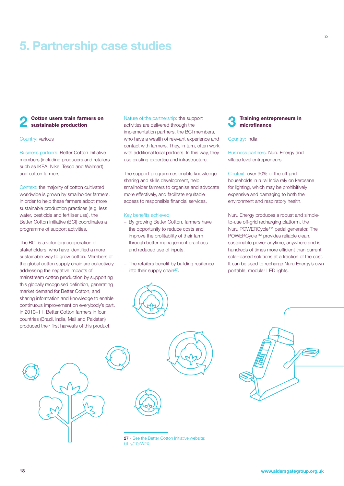## 5. Partnership case studies

#### Cotton users train farmers on sustainable production

#### Country: various

Business partners: Better Cotton Initiative members (including producers and retailers such as IKEA, Nike, Tesco and Walmart) and cotton farmers.

Context: the majority of cotton cultivated worldwide is grown by smallholder farmers. In order to help these farmers adopt more sustainable production practices (e.g. less water, pesticide and fertiliser use), the Better Cotton Initiative (BCI) coordinates a programme of support activities.

The BCI is a voluntary cooperation of stakeholders, who have identified a more sustainable way to grow cotton. Members of the global cotton supply chain are collectively addressing the negative impacts of mainstream cotton production by supporting this globally recognised definition, generating market demand for Better Cotton, and sharing information and knowledge to enable continuous improvement on everybody's part. In 2010–11, Better Cotton farmers in four countries (Brazil, India, Mali and Pakistan) produced their first harvests of this product.

Nature of the partnership: the support activities are delivered through the implementation partners, the BCI members, who have a wealth of relevant experience and contact with farmers. They, in turn, often work with additional local partners. In this way, they use existing expertise and infrastructure.

The support programmes enable knowledge sharing and skills development, help smallholder farmers to organise and advocate more effectively, and facilitate equitable access to responsible financial services.

#### Key benefits achieved

- By growing Better Cotton, farmers have the opportunity to reduce costs and improve the profitability of their farm through better management practices and reduced use of inputs.
- The retailers benefit by building resilience into their supply chain*27*.



#### **Training entrepreneurs in** microfinance

»

#### Country: India

Business partners: Nuru Energy and village level entrepreneurs

Context: over 90% of the off-grid households in rural India rely on kerosene for lighting, which may be prohibitively expensive and damaging to both the environment and respiratory health.

Nuru Energy produces a robust and simpleto-use off-grid recharging platform, the Nuru POWERCycle™ pedal generator. The POWERCycle™ provides reliable clean, sustainable power anytime, anywhere and is hundreds of times more efficient than current solar-based solutions at a fraction of the cost. It can be used to recharge Nuru Energy's own portable, modular LED lights.





27 » See the Better Cotton Initiative website: bit.ly/10jfW2X

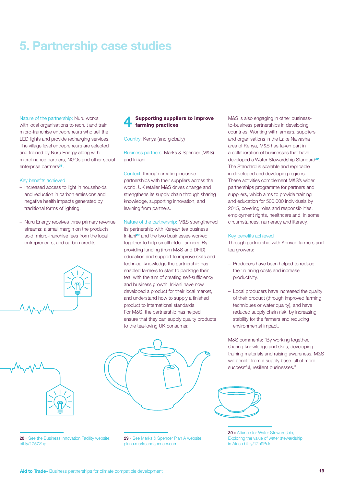## 5. Partnership case studies

Nature of the partnership: Nuru works with local organisations to recruit and train micro-franchise entrepreneurs who sell the LED lights and provide recharging services. The village level entrepreneurs are selected and trained by Nuru Energy along with microfinance partners, NGOs and other social enterprise partners*28*.

#### Key benefits achieved

- Increased access to light in households and reduction in carbon emissions and negative health impacts generated by traditional forms of lighting.
- Nuru Energy receives three primary revenue streams: a small margin on the products sold, micro-franchise fees from the local entrepreneurs, and carbon credits.





28 » See the Business Innovation Facility website: bit.ly/1757Zhp

#### Supporting suppliers to improve farming practices

#### Country: Kenya (and globally)

Business partners: Marks & Spencer (M&S) and Iri-iani

Context: through creating inclusive partnerships with their suppliers across the world, UK retailer M&S drives change and strengthens its supply chain through sharing knowledge, supporting innovation, and learning from partners.

Nature of the partnership: M&S strengthened its partnership with Kenyan tea business Iri-iani*29* and the two businesses worked together to help smallholder farmers. By providing funding (from M&S and DFID), education and support to improve skills and technical knowledge the partnership has enabled farmers to start to package their tea, with the aim of creating self-sufficiency and business growth. Iri-iani have now developed a product for their local market, and understand how to supply a finished product to international standards. For M&S, the partnership has helped ensure that they can supply quality products to the tea-loving UK consumer.

M&S is also engaging in other businessto-business partnerships in developing countries. Working with farmers, suppliers and organisations in the Lake Naivasha area of Kenya, M&S has taken part in a collaboration of businesses that have developed a Water Stewardship Standard*30*. The Standard is scalable and replicable in developed and developing regions. These activities complement M&S's wider partnerships programme for partners and suppliers, which aims to provide training and education for 500,000 individuals by 2015, covering roles and responsibilities, employment rights, healthcare and, in some circumstances, numeracy and literacy.

#### Key benefits achieved

Through partnership with Kenyan farmers and tea growers:

- Producers have been helped to reduce their running costs and increase productivity.
- Local producers have increased the quality of their product (through improved farming techniques or water quality), and have reduced supply chain risk, by increasing stability for the farmers and reducing environmental impact.

M&S comments: "By working together, sharing knowledge and skills, developing training materials and raising awareness, M&S will benefit from a supply base full of more successful, resilient businesses."



29 » See Marks & Spencer Plan A website: plana.marksandspencer.com



30 » Alliance for Water Stewardship, Exploring the value of water stewardship in Africa bit.ly/12n9Puk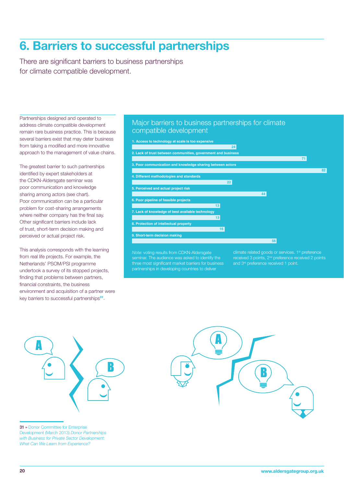## 6. Barriers to successful partnerships

There are significant barriers to business partnerships for climate compatible development.

Partnerships designed and operated to address climate compatible development remain rare business practice. This is because several barriers exist that may deter business from taking a modified and more innovative approach to the management of value chains.

The greatest barrier to such partnerships identified by expert stakeholders at the CDKN-Aldersgate seminar was poor communication and knowledge sharing among actors (see chart). Poor communication can be a particular problem for cost-sharing arrangements where neither company has the final say. Other significant barriers include lack of trust, short-term decision making and perceived or actual project risk.

This analysis corresponds with the learning from real life projects. For example, the Netherlands' PSOM/PSI programme undertook a survey of its stopped projects, finding that problems between partners. financial constraints, the business environment and acquisition of a partner were key barriers to successful partnerships*31*.

### Major barriers to business partnerships for climate compatible development

**24 71 82 22 44 13 13 16 56 1. Access to technology at scale is too expensive 2. Lack of trust between communities, government and business 3. Poor communication and knowledge sharing between actors 4. Different methodologies and standards 5. Perceived and actual project risk 6. Poor pipeline of feasible projects 7. Lack of knowledge of best available technology 8. Protection of intellectual property 9. Short-term decision making**

*Note:* voting results from CDKN-Aldersgate three most significant market barriers for business partnerships in developing countries to deliver

climate related goods or services. 1<sup>st</sup> preference received 3 points, 2nd preference received 2 points and 3<sup>rd</sup> preference received 1 point.



31 » Donor Committee for Enterprise Development (March 2013) *Donor Partnerships with Business for Private Sector Development: What Can We Learn from Experience?*

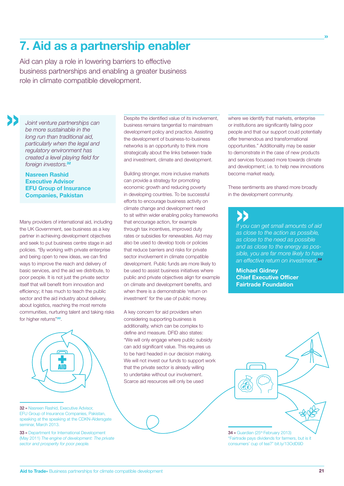## 7. Aid as a partnership enabler

Aid can play a role in lowering barriers to effective business partnerships and enabling a greater business role in climate compatible development.

» *Joint venture partnerships can be more sustainable in the long run than traditional aid, particularly when the legal and regulatory environment has created a level playing field for foreign investors.<sup>32</sup>*

Nasreen Rashid Executive Advisor EFU Group of Insurance Companies, Pakistan

Many providers of international aid, including the UK Government, see business as a key partner in achieving development objectives and seek to put business centre stage in aid policies. "By working with private enterprise and being open to new ideas, we can find ways to improve the reach and delivery of basic services, and the aid we distribute, to poor people. It is not just the private sector itself that will benefit from innovation and efficiency; it has much to teach the public sector and the aid industry about delivery. about logistics, reaching the most remote communities, nurturing talent and taking risks for higher returns"*33*.



32 » Nasreen Rashid, Executive Advisor, EFU Group of Insurance Companies, Pakistan, speaking at the speaking at the CDKN-Aldersgate seminar, March 2013.

33 » Department for International Development (May 2011) *The engine of development: The private sector and prosperity for poor people.*

Despite the identified value of its involvement, business remains tangential to mainstream development policy and practice. Assisting the development of business-to-business networks is an opportunity to think more strategically about the links between trade and investment, climate and development.

Building stronger, more inclusive markets can provide a strategy for promoting economic growth and reducing poverty in developing countries. To be successful efforts to encourage business activity on climate change and development need to sit within wider enabling policy frameworks that encourage action, for example through tax incentives, improved duty rates or subsidies for renewables. Aid may also be used to develop tools or policies that reduce barriers and risks for private sector involvement in climate compatible development. Public funds are more likely to be used to assist business initiatives where public and private objectives align for example on climate and development benefits, and when there is a demonstrable 'return on investment' for the use of public money.

A key concern for aid providers when considering supporting business is additionality, which can be complex to define and measure. DFID also states: "We will only engage where public subsidy can add significant value. This requires us to be hard headed in our decision making. We will not invest our funds to support work that the private sector is already willing to undertake without our involvement. Scarce aid resources will only be used

where we identify that markets, enterprise or institutions are significantly failing poor people and that our support could potentially offer tremendous and transformational opportunities." Additionality may be easier to demonstrate in the case of new products and services focussed more towards climate and development; i.e. to help new innovations become market ready.

»

These sentiments are shared more broadly in the development community.

*If you can get small amounts of aid*  » *as close to the action as possible, as close to the need as possible and as close to the energy as possible, you are far more likely to have an effective return on investment.<sup>34</sup>*

Michael Gidney Chief Executive Officer Fairtrade Foundation



"Fairtrade pays dividends for farmers, but is it consumers' cup of tea?" bit.ly/13OdD9D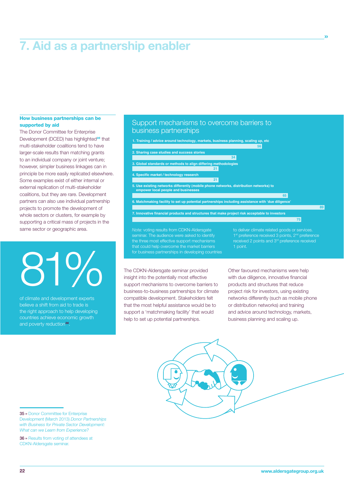## 7. Aid as a partnership enabler

#### How business partnerships can be supported by aid

The Donor Committee for Enterprise Development (DCED) has highlighted*35* that multi-stakeholder coalitions tend to have larger-scale results than matching grants to an individual company or joint venture; however, simpler business linkages can in principle be more easily replicated elsewhere. Some examples exist of either internal or external replication of multi-stakeholder coalitions, but they are rare. Development partners can also use individual partnership projects to promote the development of whole sectors or clusters, for example by supporting a critical mass of projects in the same sector or geographic area.

# The CDKN-Aldersgate seminar provided<br>insight into the potentially most effective

of climate and development experts believe a shift from aid to trade is the right approach to help developing countries achieve economic growth and poverty reduction*36*.

#### Support mechanisms to overcome barriers to business partnerships



for business partnerships in developing countries

1 point.

»

insight into the potentially most effective support mechanisms to overcome barriers to business-to-business partnerships for climate compatible development. Stakeholders felt that the most helpful assistance would be to support a 'matchmaking facility' that would help to set up potential partnerships.

Other favoured mechanisms were help with due diligence, innovative financial products and structures that reduce project risk for investors, using existing networks differently (such as mobile phone or distribution networks) and training and advice around technology, markets, business planning and scaling up.



<sup>35 »</sup> Donor Committee for Enterprise Development (March 2013) *Donor Partnerships with Business for Private Sector Development: What can we Learn from Experience?*

<sup>36 »</sup> Results from voting of attendees at CDKN-Aldersgate seminar.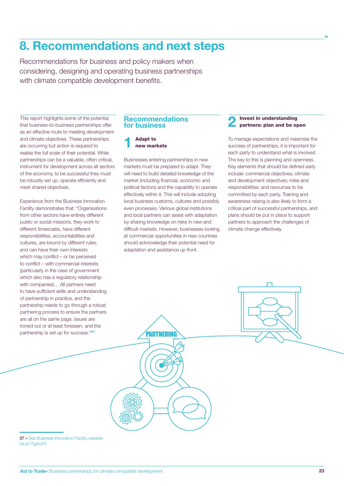Recommendations for business and policy makers when considering, designing and operating business partnerships with climate compatible development benefits.

This report highlights some of the potential that business-to-business partnerships offer as an effective route to meeting development and climate objectives. These partnerships are occurring but action is required to realise the full scale of their potential. While partnerships can be a valuable, often critical, instrument for development across all sectors of the economy, to be successful they must be robustly set up, operate efficiently and meet shared objectives.

Experience from the Business Innovation Facility demonstrates that: "Organisations from other sectors have entirely different public or social missions, they work to different timescales, have different responsibilities, accountabilities and cultures, are bound by different rules, and can have their own interests which may conflict – or be perceived to conflict – with commercial interests (particularly in the case of government which also has a regulatory relationship with companies)… All partners need to have sufficient skills and understanding of partnership in practice, and the partnership needs to go through a robust partnering process to ensure the partners are all on the same page, issues are ironed out or at least foreseen, and the partnership is set up for success."*<sup>37</sup>*

#### **Recommendations for business**

## **1** Adapt to new markets

Businesses entering partnerships in new markets must be prepared to adapt. They will need to build detailed knowledge of the market (including financial, economic and political factors) and the capability to operate effectively within it. This will include adopting local business customs, cultures and possibly even processes. Various global institutions and local partners can assist with adaptation by sharing knowledge on risks in new and difficult markets. However, businesses looking at commercial opportunities in new countries should acknowledge their potential need for adaptation and assistance up front.

PARTNERING

# **2** Invest in understanding<br>
partners: plan and be open

»

To manage expectations and maximise the success of partnerships, it is important for each party to understand what is involved. The key to this is planning and openness. Key elements that should be defined early include: commercial objectives; climate and development objectives; roles and responsibilities; and resources to be committed by each party. Training and awareness raising is also likely to form a critical part of successful partnerships, and plans should be put in place to support partners to approach the challenges of climate change effectively.

37 » See Business Innovation Facility website: bit.ly/15gKnF5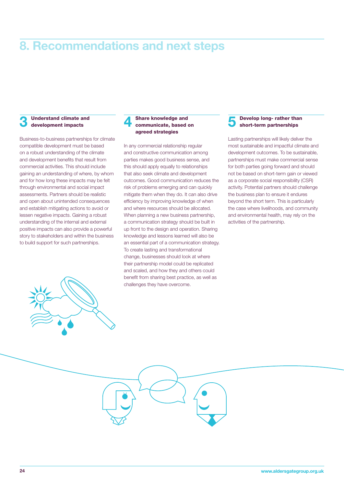#### Understand climate and development impacts

Business-to-business partnerships for climate compatible development must be based on a robust understanding of the climate and development benefits that result from commercial activities. This should include gaining an understanding of where, by whom and for how long these impacts may be felt through environmental and social impact assessments. Partners should be realistic and open about unintended consequences and establish mitigating actions to avoid or lessen negative impacts. Gaining a robust understanding of the internal and external positive impacts can also provide a powerful story to stakeholders and within the business to build support for such partnerships.



#### Share knowledge and communicate, based on agreed strategies

In any commercial relationship regular and constructive communication among parties makes good business sense, and this should apply equally to relationships that also seek climate and development outcomes. Good communication reduces the risk of problems emerging and can quickly mitigate them when they do. It can also drive efficiency by improving knowledge of when and where resources should be allocated. When planning a new business partnership, a communication strategy should be built in up front to the design and operation. Sharing knowledge and lessons learned will also be an essential part of a communication strategy. To create lasting and transformational change, businesses should look at where their partnership model could be replicated and scaled, and how they and others could benefit from sharing best practice, as well as challenges they have overcome.

5 Develop long- rather than short-term partnerships

Lasting partnerships will likely deliver the most sustainable and impactful climate and development outcomes. To be sustainable, partnerships must make commercial sense for both parties going forward and should not be based on short-term gain or viewed as a corporate social responsibility (CSR) activity. Potential partners should challenge the business plan to ensure it endures beyond the short term. This is particularly the case where livelihoods, and community and environmental health, may rely on the activities of the partnership.

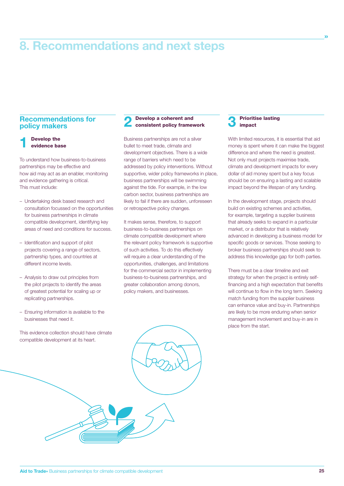#### **Recommendations for policy makers**

**1** Develop the evidence base

To understand how business-to-business partnerships may be effective and how aid may act as an enabler, monitoring and evidence gathering is critical. This must include:

- Undertaking desk based research and consultation focussed on the opportunities for business partnerships in climate compatible development, identifying key areas of need and conditions for success.
- Identification and support of pilot projects covering a range of sectors, partnership types, and countries at different income levels.
- Analysis to draw out principles from the pilot projects to identify the areas of greatest potential for scaling up or replicating partnerships.
- Ensuring information is available to the businesses that need it.

This evidence collection should have climate compatible development at its heart.

#### Develop a coherent and consistent policy framework

Business partnerships are not a silver bullet to meet trade, climate and development objectives. There is a wide range of barriers which need to be addressed by policy interventions. Without supportive, wider policy frameworks in place, business partnerships will be swimming against the tide. For example, in the low carbon sector, business partnerships are likely to fail if there are sudden, unforeseen or retrospective policy changes.

It makes sense, therefore, to support business-to-business partnerships on climate compatible development where the relevant policy framework is supportive of such activities. To do this effectively will require a clear understanding of the opportunities, challenges, and limitations for the commercial sector in implementing business-to-business partnerships, and greater collaboration among donors, policy makers, and businesses.

#### **Prioritise lasting** impact

With limited resources, it is essential that aid money is spent where it can make the biggest difference and where the need is greatest. Not only must projects maximise trade, climate and development impacts for every dollar of aid money spent but a key focus should be on ensuring a lasting and scalable impact beyond the lifespan of any funding.

»

In the development stage, projects should build on existing schemes and activities, for example, targeting a supplier business that already seeks to expand in a particular market, or a distributor that is relatively advanced in developing a business model for specific goods or services. Those seeking to broker business partnerships should seek to address this knowledge gap for both parties.

There must be a clear timeline and exit strategy for when the project is entirely selffinancing and a high expectation that benefits will continue to flow in the long term. Seeking match funding from the supplier business can enhance value and buy-in. Partnerships are likely to be more enduring when senior management involvement and buy-in are in place from the start.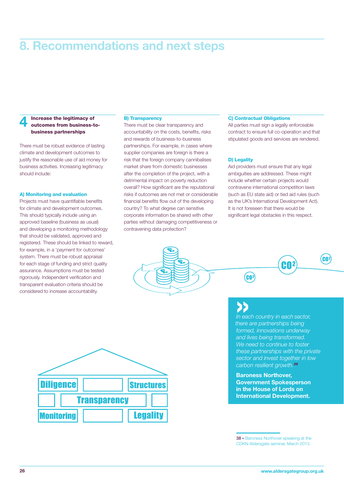#### Increase the legitimacy of outcomes from business-tobusiness partnerships

There must be robust evidence of lasting climate and development outcomes to justify the reasonable use of aid money for business activities. Increasing legitimacy should include:

#### A) Monitoring and evaluation

Projects must have quantifiable benefits for climate and development outcomes. This should typically include using an approved baseline (business as usual) and developing a monitoring methodology that should be validated, approved and registered. These should be linked to reward, for example, in a 'payment for outcomes' system. There must be robust appraisal for each stage of funding and strict quality assurance. Assumptions must be tested rigorously. Independent verification and transparent evaluation criteria should be considered to increase accountability.

#### B) Transparency

There must be clear transparency and accountability on the costs, benefits, risks and rewards of business-to-business partnerships. For example, in cases where supplier companies are foreign is there a risk that the foreign company cannibalises market share from domestic businesses after the completion of the project, with a detrimental impact on poverty reduction overall? How significant are the reputational risks if outcomes are not met or considerable financial benefits flow out of the developing country? To what degree can sensitive corporate information be shared with other parties without damaging competitiveness or contravening data protection?

#### C) Contractual Obligations

All parties must sign a legally enforceable contract to ensure full co-operation and that stipulated goods and services are rendered.

#### D) Legality

Aid providers must ensure that any legal ambiguities are addressed. These might include whether certain projects would contravene international competition laws (such as EU state aid) or tied aid rules (such as the UK's International Development Act). It is not foreseen that there would be significant legal obstacles in this respect.



GO<sup>2</sup>

**IP**<br>
In each country in each sector, *there are partnerships being formed, innovations underway and lives being transformed. We need to continue to foster these partnerships with the private sector and invest together in low carbon resilient growth.<sup>38</sup>*

CO2

**GO2** 

Baroness Northover, Government Spokesperson in the House of Lords on International Development.

<sup>38 »</sup> Baroness Northover speaking at the CDKN-Aldersgate seminar, March 2013.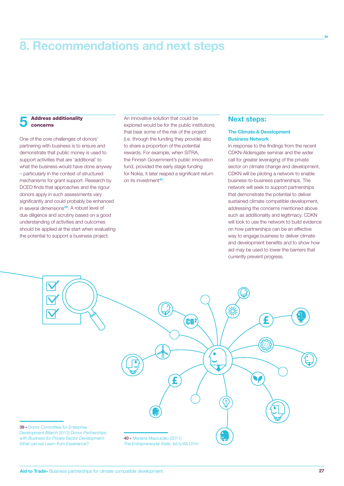#### **Address additionality** concerns

One of the core challenges of donors' partnering with business is to ensure and demonstrate that public money is used to support activities that are 'additional' to what the business would have done anyway – particularly in the context of structured mechanisms for grant support. Research by DCED finds that approaches and the rigour donors apply in such assessments vary significantly and could probably be enhanced in several dimensions*39*. A robust level of due diligence and scrutiny based on a good understanding of activities and outcomes should be applied at the start when evaluating the potential to support a business project.

An innovative solution that could be explored would be for the public institutions that bear some of the risk of the project (i.e. through the funding they provide) also to share a proportion of the potential rewards. For example, when SITRA, the Finnish Government's public innovation fund, provided the early stage funding for Nokia, it later reaped a significant return on its investment*40*.

## **Next steps:**

#### The Climate & Development Business Network

In response to the findings from the recent CDKN-Aldersgate seminar and the wider call for greater leveraging of the private sector on climate change and development, CDKN will be piloting a network to enable business-to-business partnerships. The network will seek to support partnerships that demonstrate the potential to deliver sustained climate compatible development, addressing the concerns mentioned above such as additionality and legitimacy. CDKN will look to use the network to build evidence on how partnerships can be an effective way to engage business to deliver climate and development benefits and to show how aid may be used to lower the barriers that currently prevent progress.

»